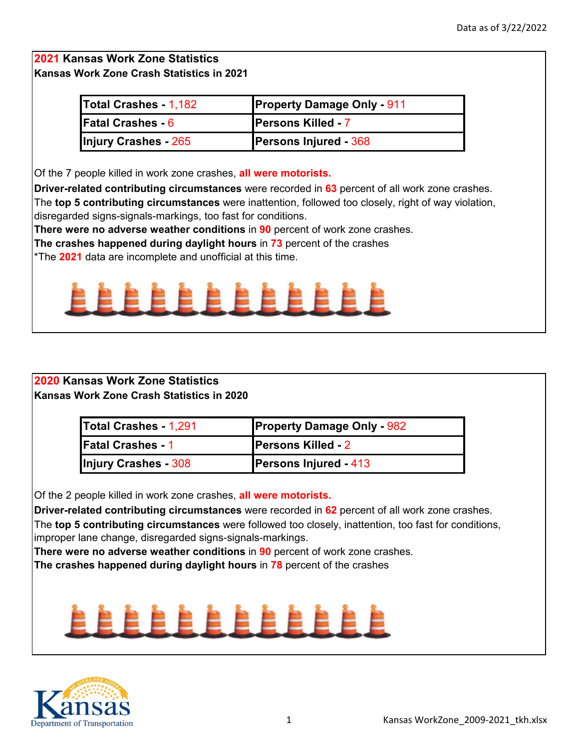| <b>Total Crashes - 1,182</b> | <b>Property Damage Only - 911</b> |
|------------------------------|-----------------------------------|
| <b>Fatal Crashes - 6</b>     | <b>Persons Killed - 7</b>         |
| Injury Crashes - 265         | <b>Persons Injured - 368</b>      |

Of the 7 people killed in work zone crashes, **all were motorists.**

**Driver-related contributing circumstances** were recorded in **63** percent of all work zone crashes.

The **top 5 contributing circumstances** were inattention, followed too closely, right of way violation, disregarded signs-signals-markings, too fast for conditions.

**There were no adverse weather conditions** in **90** percent of work zone crashes.

**The crashes happened during daylight hours** in **73** percent of the crashes

\*The **2021** data are incomplete and unofficial at this time.



### **2020 Kansas Work Zone Statistics Kansas Work Zone Crash Statistics in 2020**

| Total Crashes - 1,291       | <b>Property Damage Only - 982</b> |
|-----------------------------|-----------------------------------|
| <b>Fatal Crashes - 1</b>    | <b>Persons Killed - 2</b>         |
| <b>Injury Crashes - 308</b> | <b>Persons Injured - 413</b>      |

Of the 2 people killed in work zone crashes, **all were motorists.**

**Driver-related contributing circumstances** were recorded in **62** percent of all work zone crashes.

The **top 5 contributing circumstances** were followed too closely, inattention, too fast for conditions, improper lane change, disregarded signs-signals-markings.

**There were no adverse weather conditions** in **90** percent of work zone crashes.

**The crashes happened during daylight hours** in **78** percent of the crashes

# . . . . . . . .

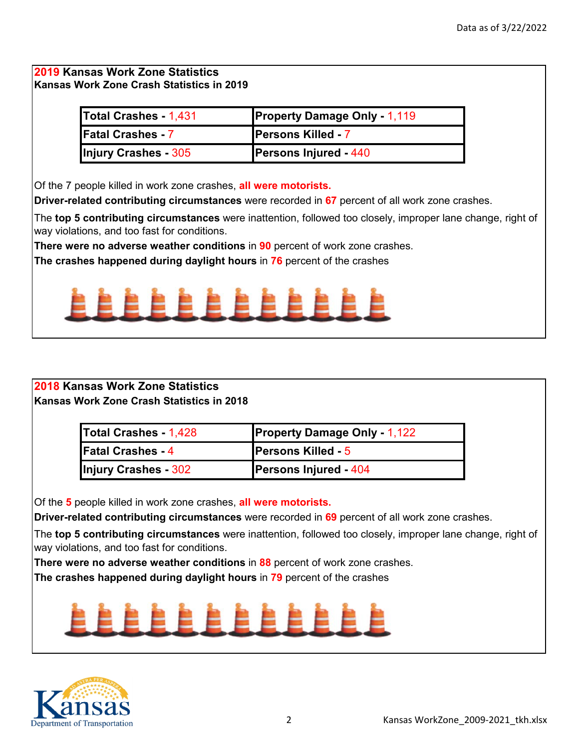| <b>Total Crashes - 1,431</b> | <b>Property Damage Only - 1,119</b> |
|------------------------------|-------------------------------------|
| <b>Fatal Crashes - 7</b>     | <b>Persons Killed - 7</b>           |
| <b>Injury Crashes - 305</b>  | <b>Persons Injured - 440</b>        |

Of the 7 people killed in work zone crashes, **all were motorists.**

**Driver-related contributing circumstances** were recorded in **67** percent of all work zone crashes.

The **top 5 contributing circumstances** were inattention, followed too closely, improper lane change, right of way violations, and too fast for conditions.

**There were no adverse weather conditions** in **90** percent of work zone crashes.

**The crashes happened during daylight hours** in **76** percent of the crashes



### **2018 Kansas Work Zone Statistics Kansas Work Zone Crash Statistics in 2018**

| <b>Total Crashes - 1,428</b> | <b>Property Damage Only - 1,122</b> |
|------------------------------|-------------------------------------|
| <b>Fatal Crashes - 4</b>     | <b>Persons Killed - 5</b>           |
| Injury Crashes - 302         | <b>Persons Injured - 404</b>        |

Of the **5** people killed in work zone crashes, **all were motorists.**

**Driver-related contributing circumstances** were recorded in **69** percent of all work zone crashes.

The **top 5 contributing circumstances** were inattention, followed too closely, improper lane change, right of way violations, and too fast for conditions.

**There were no adverse weather conditions** in **88** percent of work zone crashes.

**The crashes happened during daylight hours** in **79** percent of the crashes

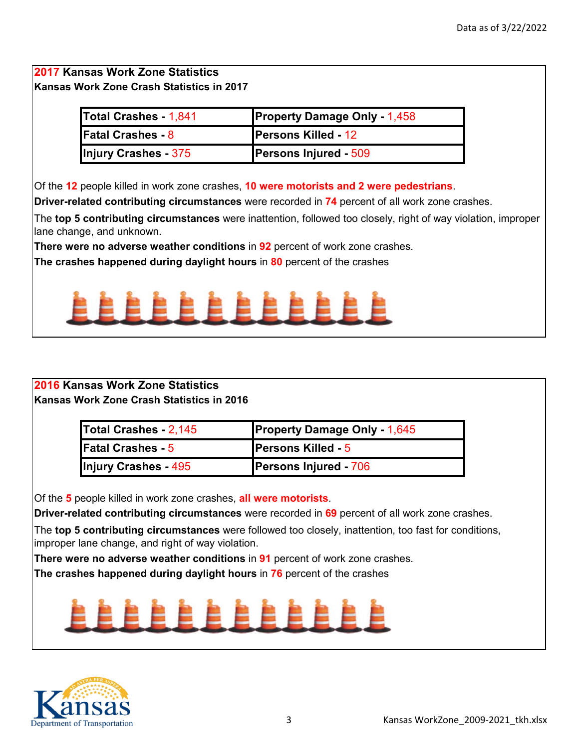| Total Crashes - 1,841    | <b>Property Damage Only - 1,458</b> |
|--------------------------|-------------------------------------|
| <b>Fatal Crashes - 8</b> | <b>Persons Killed - 12</b>          |
| Injury Crashes - 375     | <b>Persons Injured - 509</b>        |

Of the **12** people killed in work zone crashes, **10 were motorists and 2 were pedestrians**.

**Driver-related contributing circumstances** were recorded in **74** percent of all work zone crashes.

The **top 5 contributing circumstances** were inattention, followed too closely, right of way violation, improper lane change, and unknown.

**There were no adverse weather conditions** in **92** percent of work zone crashes.

**The crashes happened during daylight hours** in **80** percent of the crashes



### **2016 Kansas Work Zone Statistics Kansas Work Zone Crash Statistics in 2016**

| Total Crashes - 2,145       | <b>Property Damage Only - 1,645</b> |
|-----------------------------|-------------------------------------|
| <b>Fatal Crashes - 5</b>    | <b>Persons Killed - 5</b>           |
| <b>Injury Crashes - 495</b> | <b>Persons Injured - 706</b>        |

Of the **5** people killed in work zone crashes, **all were motorists**.

**Driver-related contributing circumstances** were recorded in **69** percent of all work zone crashes.

The **top 5 contributing circumstances** were followed too closely, inattention, too fast for conditions, improper lane change, and right of way violation.

**There were no adverse weather conditions** in **91** percent of work zone crashes.

**The crashes happened during daylight hours** in **76** percent of the crashes

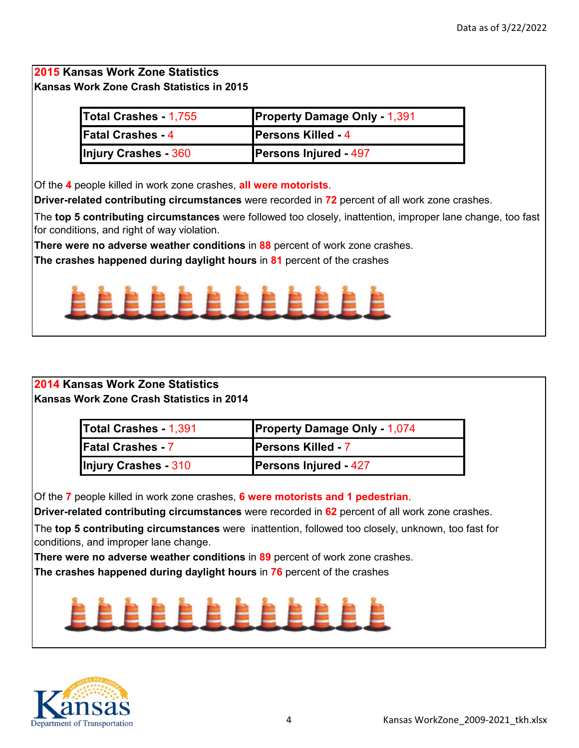| Total Crashes - 1,755    | <b>Property Damage Only - 1,391</b> |
|--------------------------|-------------------------------------|
| <b>Fatal Crashes - 4</b> | <b>Persons Killed - 4</b>           |
| Injury Crashes - 360     | <b>Persons Injured - 497</b>        |

Of the **4** people killed in work zone crashes, **all were motorists**.

**Driver-related contributing circumstances** were recorded in **72** percent of all work zone crashes.

The **top 5 contributing circumstances** were followed too closely, inattention, improper lane change, too fast for conditions, and right of way violation.

**There were no adverse weather conditions** in **88** percent of work zone crashes.

**The crashes happened during daylight hours** in **81** percent of the crashes



### **Kansas Work Zone Crash Statistics in 2014 2014 Kansas Work Zone Statistics**

| Total Crashes - 1,391    | <b>Property Damage Only - 1,074</b> |
|--------------------------|-------------------------------------|
| <b>Fatal Crashes - 7</b> | <b>Persons Killed - 7</b>           |
| Injury Crashes - 310     | <b>Persons Injured - 427</b>        |

Of the **7** people killed in work zone crashes, **6 were motorists and 1 pedestrian**.

**Driver-related contributing circumstances** were recorded in **62** percent of all work zone crashes.

The **top 5 contributing circumstances** were inattention, followed too closely, unknown, too fast for conditions, and improper lane change.

**There were no adverse weather conditions** in **89** percent of work zone crashes.

**The crashes happened during daylight hours** in **76** percent of the crashes

## . . . . . . .

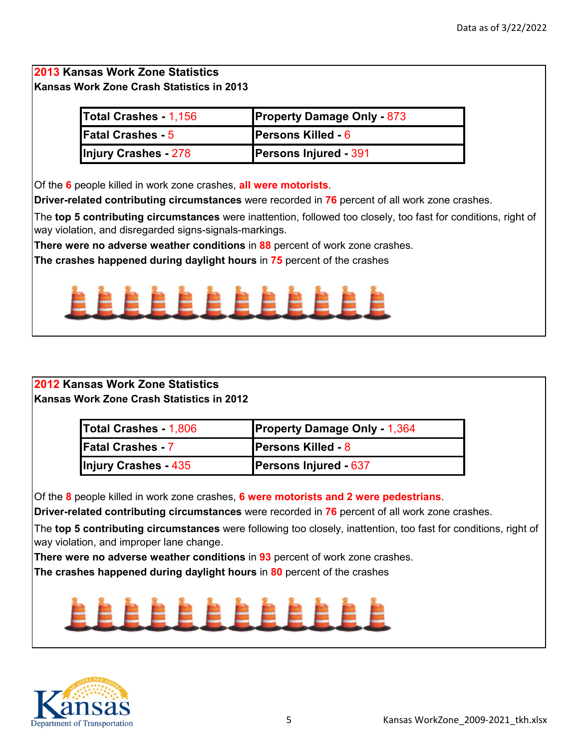| <b>Total Crashes - 1,156</b> | <b>Property Damage Only - 873</b> |
|------------------------------|-----------------------------------|
| <b>Fatal Crashes - 5</b>     | <b>Persons Killed - 6</b>         |
| Injury Crashes - 278         | <b>Persons Injured - 391</b>      |

Of the **6** people killed in work zone crashes, **all were motorists**.

**Driver-related contributing circumstances** were recorded in **76** percent of all work zone crashes.

The **top 5 contributing circumstances** were inattention, followed too closely, too fast for conditions, right of way violation, and disregarded signs-signals-markings.

**There were no adverse weather conditions** in **88** percent of work zone crashes.

**The crashes happened during daylight hours** in **75** percent of the crashes



### **2012 Kansas Work Zone Statistics Kansas Work Zone Crash Statistics in 2012**

| <b>Total Crashes - 1,806</b> | <b>Property Damage Only - 1,364</b> |
|------------------------------|-------------------------------------|
| <b>Fatal Crashes 7</b>       | <b>Persons Killed - 8</b>           |
| Injury Crashes - 435         | <b>Persons Injured - 637</b>        |

Of the **8** people killed in work zone crashes, **6 were motorists and 2 were pedestrians**.

**Driver-related contributing circumstances** were recorded in **76** percent of all work zone crashes.

The **top 5 contributing circumstances** were following too closely, inattention, too fast for conditions, right of way violation, and improper lane change.

**There were no adverse weather conditions** in **93** percent of work zone crashes.

**The crashes happened during daylight hours** in **80** percent of the crashes

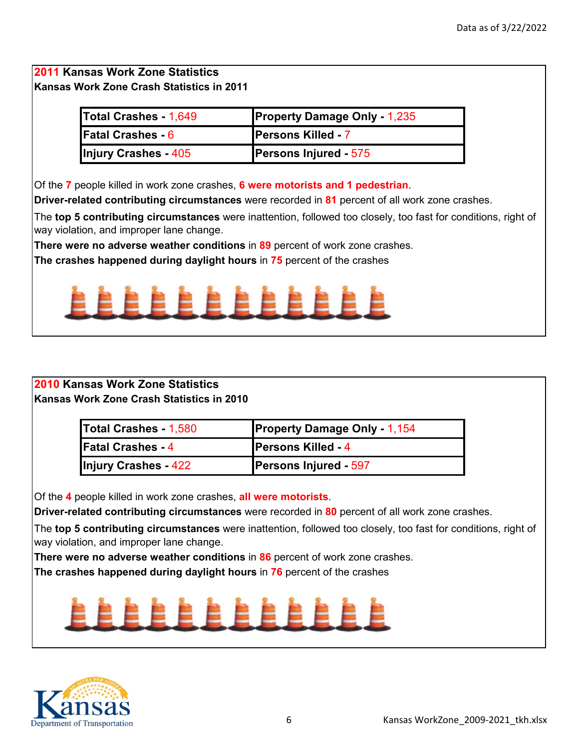## **Kansas Work Zone Crash Statistics in 2011 2011 Kansas Work Zone Statistics**

| Total Crashes - 1,649    | <b>Property Damage Only - 1,235</b> |
|--------------------------|-------------------------------------|
| <b>Fatal Crashes - 6</b> | <b>Persons Killed - 7</b>           |
| Injury Crashes - 405     | <b>Persons Injured - 575</b>        |

Of the **7** people killed in work zone crashes, **6 were motorists and 1 pedestrian**.

**Driver-related contributing circumstances** were recorded in **81** percent of all work zone crashes.

The **top 5 contributing circumstances** were inattention, followed too closely, too fast for conditions, right of way violation, and improper lane change.

**There were no adverse weather conditions** in **89** percent of work zone crashes.

**The crashes happened during daylight hours** in **75** percent of the crashes



### **2010 Kansas Work Zone Statistics Kansas Work Zone Crash Statistics in 2010**

| Total Crashes - 1,580    | <b>Property Damage Only - 1,154</b> |
|--------------------------|-------------------------------------|
| <b>Fatal Crashes - 4</b> | <b>Persons Killed - 4</b>           |
| Injury Crashes - 422     | <b>Persons Injured - 597</b>        |

Of the **4** people killed in work zone crashes, **all were motorists**.

**Driver-related contributing circumstances** were recorded in **80** percent of all work zone crashes.

The **top 5 contributing circumstances** were inattention, followed too closely, too fast for conditions, right of way violation, and improper lane change.

**There were no adverse weather conditions** in **86** percent of work zone crashes.

**The crashes happened during daylight hours** in **76** percent of the crashes

## . . . . . . .